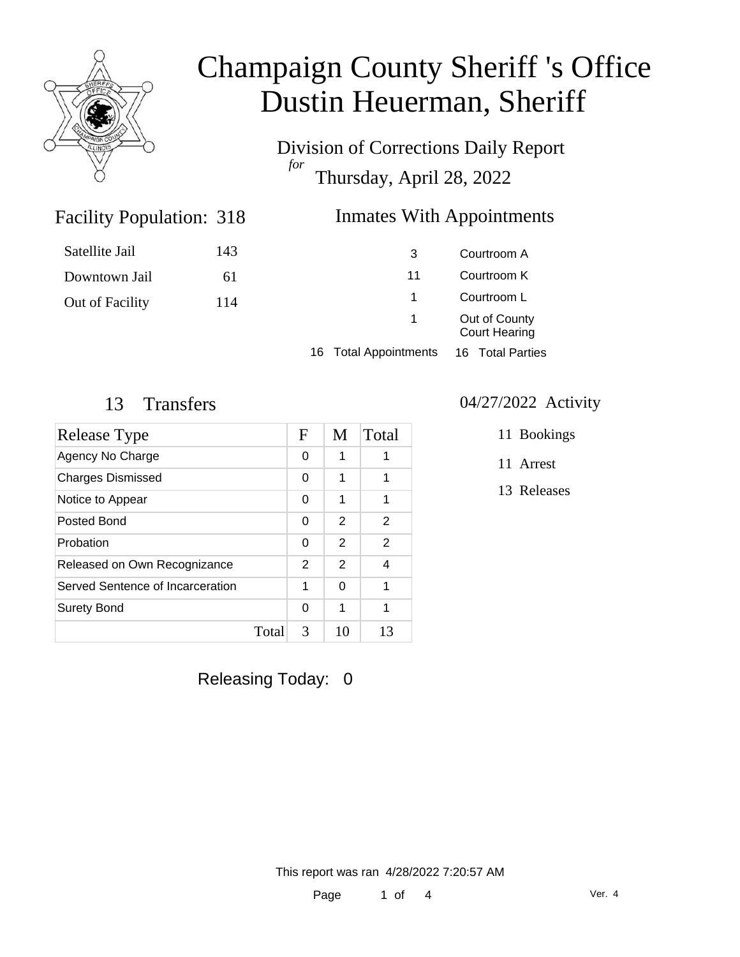

Division of Corrections Daily Report *for* Thursday, April 28, 2022

### Inmates With Appointments

| Satellite Jail  | 143 | 3                               | Courtroom A                           |  |
|-----------------|-----|---------------------------------|---------------------------------------|--|
| Downtown Jail   | 61  | 11                              | Courtroom K                           |  |
| Out of Facility | 114 |                                 | Courtroom L                           |  |
|                 |     | 1                               | Out of County<br><b>Court Hearing</b> |  |
|                 |     | <b>Total Appointments</b><br>16 | 16 Total Parties                      |  |

Facility Population: 318

| Release Type                     |       | F        | M             | Total |
|----------------------------------|-------|----------|---------------|-------|
| Agency No Charge                 |       | 0        | 1             |       |
| <b>Charges Dismissed</b>         |       | 0        | 1             | 1     |
| Notice to Appear                 |       | 0        | 1             | 1     |
| Posted Bond                      |       | $\Omega$ | 2             | 2     |
| Probation                        |       | $\Omega$ | $\mathcal{P}$ | 2     |
| Released on Own Recognizance     |       | 2        | 2             | 4     |
| Served Sentence of Incarceration |       | 1        | $\Omega$      | 1     |
| <b>Surety Bond</b>               |       | $\Omega$ | 1             |       |
|                                  | Total | 3        | 10            | 13    |

#### 13 Transfers 04/27/2022 Activity

11 Bookings

11 Arrest

13 Releases

Releasing Today: 0

This report was ran 4/28/2022 7:20:57 AM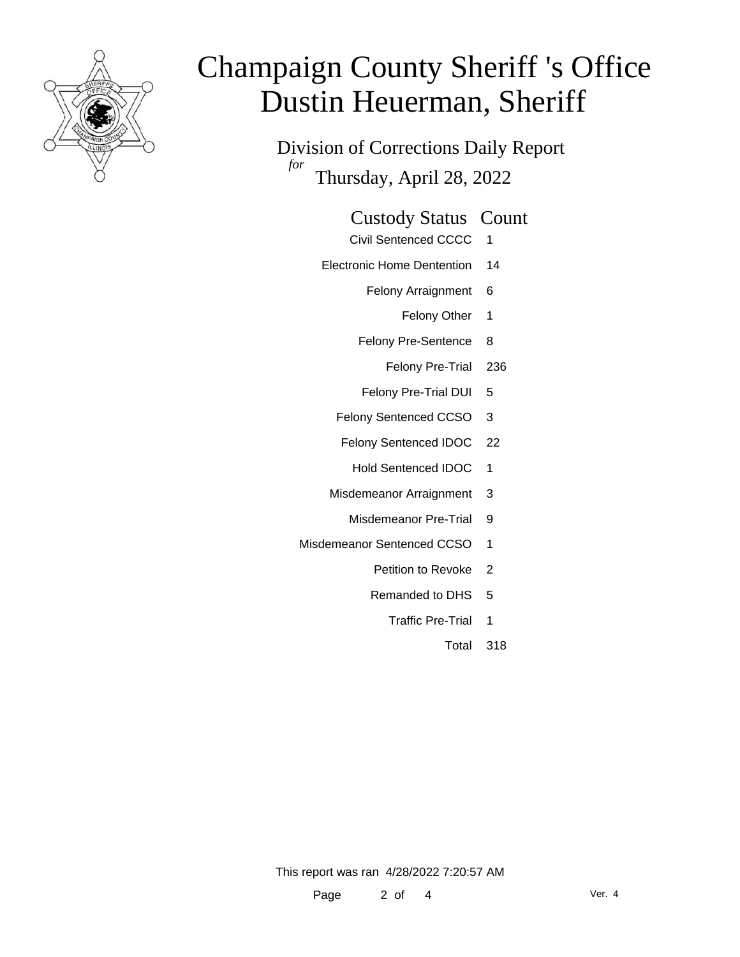

Division of Corrections Daily Report *for* Thursday, April 28, 2022

#### Custody Status Count

- Civil Sentenced CCCC 1
- Electronic Home Dentention 14
	- Felony Arraignment 6
		- Felony Other 1
	- Felony Pre-Sentence 8
		- Felony Pre-Trial 236
	- Felony Pre-Trial DUI 5
	- Felony Sentenced CCSO 3
	- Felony Sentenced IDOC 22
		- Hold Sentenced IDOC 1
	- Misdemeanor Arraignment 3
		- Misdemeanor Pre-Trial 9
- Misdemeanor Sentenced CCSO 1
	- Petition to Revoke 2
	- Remanded to DHS 5
		- Traffic Pre-Trial 1
			- Total 318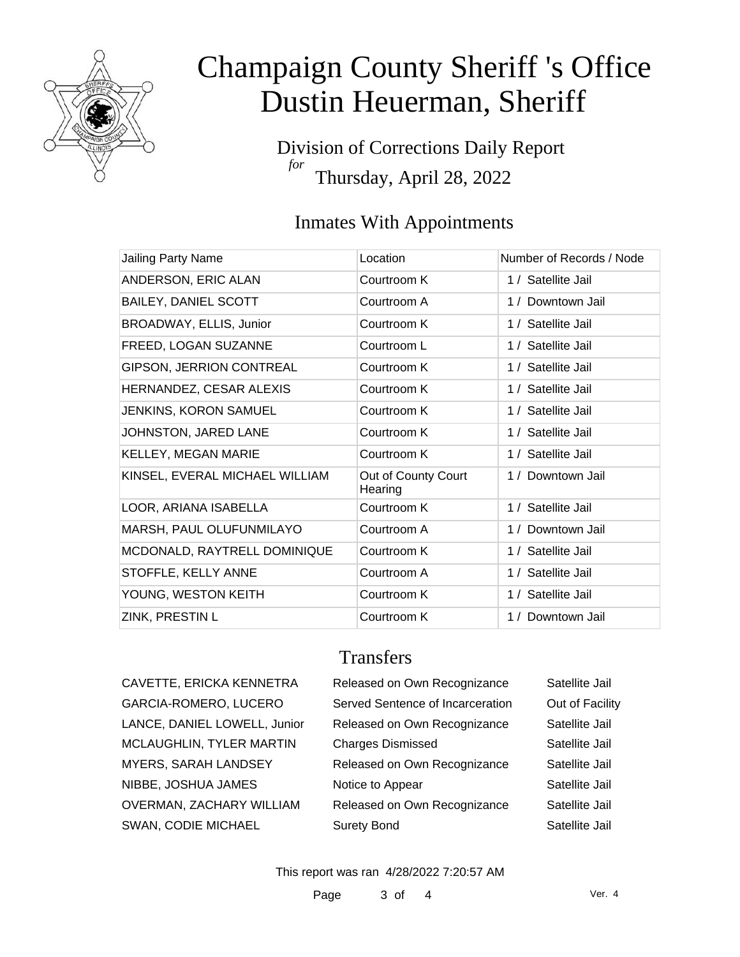

Division of Corrections Daily Report *for* Thursday, April 28, 2022

### Inmates With Appointments

| Jailing Party Name              | Location                       | Number of Records / Node |
|---------------------------------|--------------------------------|--------------------------|
| ANDERSON, ERIC ALAN             | Courtroom K                    | 1 / Satellite Jail       |
| <b>BAILEY, DANIEL SCOTT</b>     | Courtroom A                    | 1 / Downtown Jail        |
| BROADWAY, ELLIS, Junior         | Courtroom K                    | 1 / Satellite Jail       |
| FREED, LOGAN SUZANNE            | Courtroom L                    | 1 / Satellite Jail       |
| <b>GIPSON, JERRION CONTREAL</b> | Courtroom K                    | 1 / Satellite Jail       |
| HERNANDEZ, CESAR ALEXIS         | Courtroom K                    | 1 / Satellite Jail       |
| <b>JENKINS, KORON SAMUEL</b>    | Courtroom K                    | 1 / Satellite Jail       |
| JOHNSTON, JARED LANE            | Courtroom K                    | 1 / Satellite Jail       |
| KELLEY, MEGAN MARIE             | Courtroom K                    | 1 / Satellite Jail       |
| KINSEL, EVERAL MICHAEL WILLIAM  | Out of County Court<br>Hearing | 1 / Downtown Jail        |
| LOOR, ARIANA ISABELLA           | Courtroom K                    | 1 / Satellite Jail       |
| MARSH, PAUL OLUFUNMILAYO        | Courtroom A                    | 1 / Downtown Jail        |
| MCDONALD, RAYTRELL DOMINIQUE    | Courtroom K                    | 1 / Satellite Jail       |
| STOFFLE, KELLY ANNE             | Courtroom A                    | 1 / Satellite Jail       |
| YOUNG, WESTON KEITH             | Courtroom K                    | 1 / Satellite Jail       |
| ZINK, PRESTIN L                 | Courtroom K                    | 1 / Downtown Jail        |

**Transfers** 

| TE, ERICKA KENNETRA         | Release         |
|-----------------------------|-----------------|
| 4-ROMERO, LUCERO            | Served 9        |
| , DANIEL LOWELL, Junior     | Release         |
| <b>GHLIN, TYLER MARTIN</b>  | Charges         |
| , SARAH LANDSEY             | Release         |
| <b>JOSHUA JAMES</b>         | Notice to       |
| <b>IAN, ZACHARY WILLIAM</b> | Release         |
| <b>CODIE MICHAEL</b>        | <b>Surety B</b> |

| CAVETTE, ERICKA KENNETRA     | Released on Own Recognizance     | Satellite Jail  |
|------------------------------|----------------------------------|-----------------|
| GARCIA-ROMERO, LUCERO        | Served Sentence of Incarceration | Out of Facility |
| LANCE, DANIEL LOWELL, Junior | Released on Own Recognizance     | Satellite Jail  |
| MCLAUGHLIN, TYLER MARTIN     | <b>Charges Dismissed</b>         | Satellite Jail  |
| <b>MYERS, SARAH LANDSEY</b>  | Released on Own Recognizance     | Satellite Jail  |
| NIBBE, JOSHUA JAMES          | Notice to Appear                 | Satellite Jail  |
| OVERMAN, ZACHARY WILLIAM     | Released on Own Recognizance     | Satellite Jail  |
| SWAN, CODIE MICHAEL          | <b>Surety Bond</b>               | Satellite Jail  |